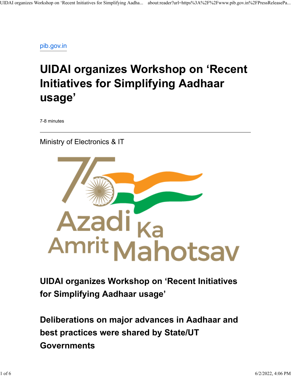[pib.gov.in](https://www.pib.gov.in/PressReleasePage.aspx?PRID=1830149)

## **UIDAI organizes Workshop on 'Recent Initiatives for Simplifying Aadhaar usage'**

7-8 minutes

Ministry of Electronics & IT



## **UIDAI organizes Workshop on 'Recent Initiatives for Simplifying Aadhaar usage'**

**Deliberations on major advances in Aadhaar and best practices were shared by State/UT Governments**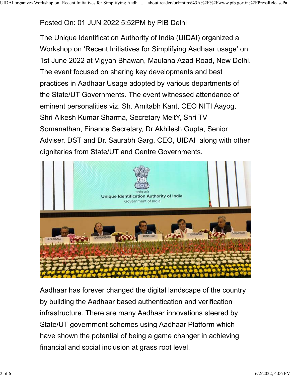## Posted On: 01 JUN 2022 5:52PM by PIB Delhi

The Unique Identification Authority of India (UIDAI) organized a Workshop on 'Recent Initiatives for Simplifying Aadhaar usage' on 1st June 2022 at Vigyan Bhawan, Maulana Azad Road, New Delhi. The event focused on sharing key developments and best practices in Aadhaar Usage adopted by various departments of the State/UT Governments. The event witnessed attendance of eminent personalities viz. Sh. Amitabh Kant, CEO NITI Aayog, Shri Alkesh Kumar Sharma, Secretary MeitY, Shri TV Somanathan, Finance Secretary, Dr Akhilesh Gupta, Senior Adviser, DST and Dr. Saurabh Garg, CEO, UIDAI along with other dignitaries from State/UT and Centre Governments.



Aadhaar has forever changed the digital landscape of the country by building the Aadhaar based authentication and verification infrastructure. There are many Aadhaar innovations steered by State/UT government schemes using Aadhaar Platform which have shown the potential of being a game changer in achieving financial and social inclusion at grass root level.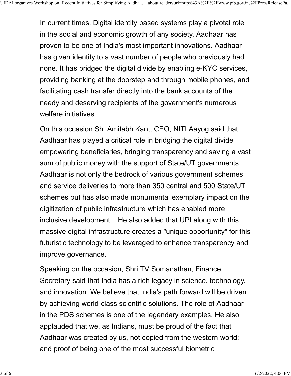In current times, Digital identity based systems play a pivotal role in the social and economic growth of any society. Aadhaar has proven to be one of India's most important innovations. Aadhaar has given identity to a vast number of people who previously had none. It has bridged the digital divide by enabling e-KYC services, providing banking at the doorstep and through mobile phones, and facilitating cash transfer directly into the bank accounts of the needy and deserving recipients of the government's numerous welfare initiatives.

On this occasion Sh. Amitabh Kant, CEO, NITI Aayog said that Aadhaar has played a critical role in bridging the digital divide empowering beneficiaries, bringing transparency and saving a vast sum of public money with the support of State/UT governments. Aadhaar is not only the bedrock of various government schemes and service deliveries to more than 350 central and 500 State/UT schemes but has also made monumental exemplary impact on the digitization of public infrastructure which has enabled more inclusive development. He also added that UPI along with this massive digital infrastructure creates a "unique opportunity" for this futuristic technology to be leveraged to enhance transparency and improve governance.

Speaking on the occasion, Shri TV Somanathan, Finance Secretary said that India has a rich legacy in science, technology, and innovation. We believe that India's path forward will be driven by achieving world-class scientific solutions. The role of Aadhaar in the PDS schemes is one of the legendary examples. He also applauded that we, as Indians, must be proud of the fact that Aadhaar was created by us, not copied from the western world; and proof of being one of the most successful biometric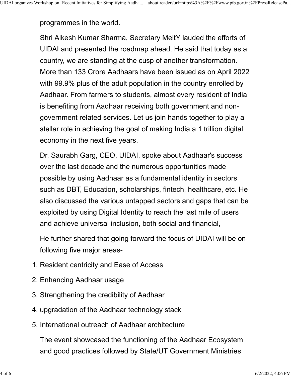programmes in the world.

Shri Alkesh Kumar Sharma, Secretary MeitY lauded the efforts of UIDAI and presented the roadmap ahead. He said that today as a country, we are standing at the cusp of another transformation. More than 133 Crore Aadhaars have been issued as on April 2022 with 99.9% plus of the adult population in the country enrolled by Aadhaar. From farmers to students, almost every resident of India is benefiting from Aadhaar receiving both government and nongovernment related services. Let us join hands together to play a stellar role in achieving the goal of making India a 1 trillion digital economy in the next five years.

Dr. Saurabh Garg, CEO, UIDAI, spoke about Aadhaar's success over the last decade and the numerous opportunities made possible by using Aadhaar as a fundamental identity in sectors such as DBT, Education, scholarships, fintech, healthcare, etc. He also discussed the various untapped sectors and gaps that can be exploited by using Digital Identity to reach the last mile of users and achieve universal inclusion, both social and financial,

He further shared that going forward the focus of UIDAI will be on following five major areas-

- 1. Resident centricity and Ease of Access
- 2. Enhancing Aadhaar usage
- 3. Strengthening the credibility of Aadhaar
- 4. upgradation of the Aadhaar technology stack
- 5. International outreach of Aadhaar architecture

The event showcased the functioning of the Aadhaar Ecosystem and good practices followed by State/UT Government Ministries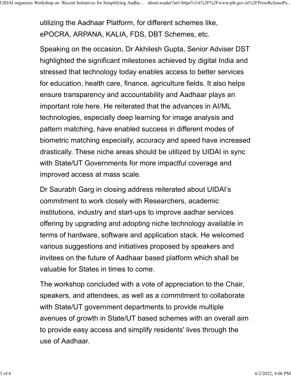utilizing the Aadhaar Platform, for different schemes like, ePOCRA, ARPANA, KALIA, FDS, DBT Schemes, etc.

Speaking on the occasion, Dr Akhilesh Gupta, Senior Adviser DST highlighted the significant milestones achieved by digital India and stressed that technology today enables access to better services for education, health care, finance, agriculture fields. It also helps ensure transparency and accountability and Aadhaar plays an important role here. He reiterated that the advances in AI/ML technologies, especially deep learning for image analysis and pattern matching, have enabled success in different modes of biometric matching especially, accuracy and speed have increased drastically. These niche areas should be utilized by UIDAI in sync with State/UT Governments for more impactful coverage and improved access at mass scale.

Dr Saurabh Garg in closing address reiterated about UIDAI's commitment to work closely with Researchers, academic institutions, industry and start-ups to improve aadhar services offering by upgrading and adopting niche technology available in terms of hardware, software and application stack. He welcomed various suggestions and initiatives proposed by speakers and invitees on the future of Aadhaar based platform which shall be valuable for States in times to come.

The workshop concluded with a vote of appreciation to the Chair, speakers, and attendees, as well as a commitment to collaborate with State/UT government departments to provide multiple avenues of growth in State/UT based schemes with an overall aim to provide easy access and simplify residents' lives through the use of Aadhaar.